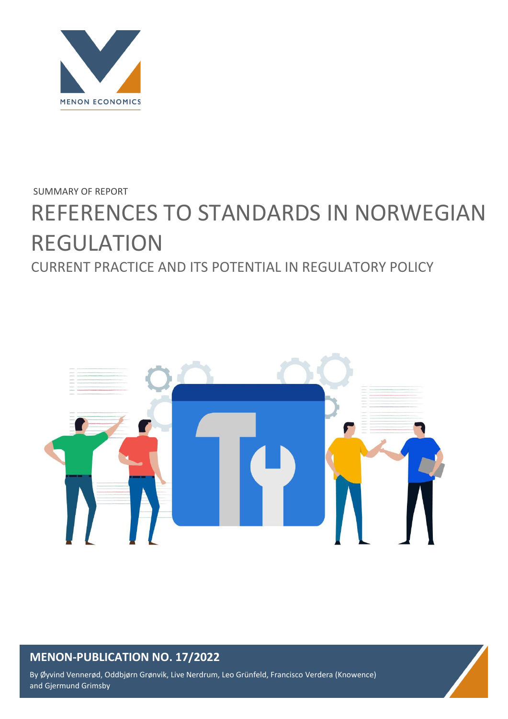

### SUMMARY OF REPORT

# REFERENCES TO STANDARDS IN NORWEGIAN REGULATION CURRENT PRACTICE AND ITS POTENTIAL IN REGULATORY POLICY



## **MENON-PUBLICATION NO. 17/2022**

By Øyvind Vennerød, Oddbjørn Grønvik, Live Nerdrum, Leo Grünfeld, Francisco Verdera (Knowence) and Gjermund Grimsby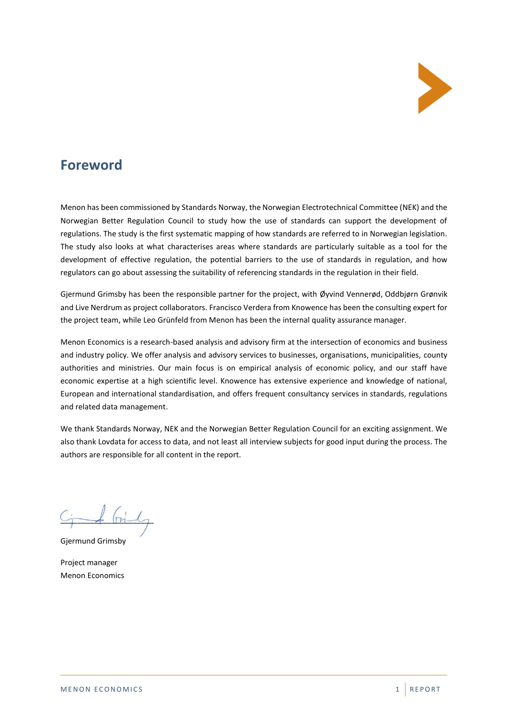

## **Foreword**

Menon has been commissioned by Standards Norway, the Norwegian Electrotechnical Committee (NEK) and the Norwegian Better Regulation Council to study how the use of standards can support the development of regulations. The study is the first systematic mapping of how standards are referred to in Norwegian legislation. The study also looks at what characterises areas where standards are particularly suitable as a tool for the development of effective regulation, the potential barriers to the use of standards in regulation, and how regulators can go about assessing the suitability of referencing standards in the regulation in their field.

Gjermund Grimsby has been the responsible partner for the project, with Øyvind Vennerød, Oddbjørn Grønvik and Live Nerdrum as project collaborators. Francisco Verdera from Knowence has been the consulting expert for the project team, while Leo Grünfeld from Menon has been the internal quality assurance manager.

Menon Economics is a research-based analysis and advisory firm at the intersection of economics and business and industry policy. We offer analysis and advisory services to businesses, organisations, municipalities, county authorities and ministries. Our main focus is on empirical analysis of economic policy, and our staff have economic expertise at a high scientific level. Knowence has extensive experience and knowledge of national, European and international standardisation, and offers frequent consultancy services in standards, regulations and related data management.

We thank Standards Norway, NEK and the Norwegian Better Regulation Council for an exciting assignment. We also thank Lovdata for access to data, and not least all interview subjects for good input during the process. The authors are responsible for all content in the report.

 $\sqrt{2\pi}$ 

Gjermund Grimsby

Project manager Menon Economics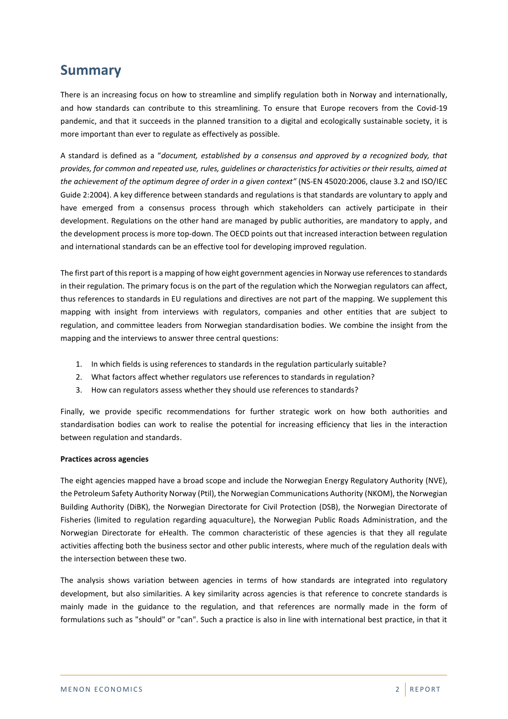## **Summary**

There is an increasing focus on how to streamline and simplify regulation both in Norway and internationally, and how standards can contribute to this streamlining. To ensure that Europe recovers from the Covid-19 pandemic, and that it succeeds in the planned transition to a digital and ecologically sustainable society, it is more important than ever to regulate as effectively as possible.

A standard is defined as a "*document, established by a consensus and approved by a recognized body, that provides, for common and repeated use, rules, guidelines or characteristics for activities or their results, aimed at the achievement of the optimum degree of order in a given context"* (NS-EN 45020:2006, clause 3.2 and ISO/IEC Guide 2:2004). A key difference between standards and regulations is that standards are voluntary to apply and have emerged from a consensus process through which stakeholders can actively participate in their development. Regulations on the other hand are managed by public authorities, are mandatory to apply, and the development process is more top-down. The OECD points out that increased interaction between regulation and international standards can be an effective tool for developing improved regulation.

The first part of this report is a mapping of how eight government agencies in Norway use references to standards in their regulation. The primary focus is on the part of the regulation which the Norwegian regulators can affect, thus references to standards in EU regulations and directives are not part of the mapping. We supplement this mapping with insight from interviews with regulators, companies and other entities that are subject to regulation, and committee leaders from Norwegian standardisation bodies. We combine the insight from the mapping and the interviews to answer three central questions:

- 1. In which fields is using references to standards in the regulation particularly suitable?
- 2. What factors affect whether regulators use references to standards in regulation?
- 3. How can regulators assess whether they should use references to standards?

Finally, we provide specific recommendations for further strategic work on how both authorities and standardisation bodies can work to realise the potential for increasing efficiency that lies in the interaction between regulation and standards.

#### **Practices across agencies**

The eight agencies mapped have a broad scope and include the Norwegian Energy Regulatory Authority (NVE), the Petroleum Safety Authority Norway (Ptil), the Norwegian Communications Authority (NKOM), the Norwegian Building Authority (DiBK), the Norwegian Directorate for Civil Protection (DSB), the Norwegian Directorate of Fisheries (limited to regulation regarding aquaculture), the Norwegian Public Roads Administration, and the Norwegian Directorate for eHealth. The common characteristic of these agencies is that they all regulate activities affecting both the business sector and other public interests, where much of the regulation deals with the intersection between these two.

The analysis shows variation between agencies in terms of how standards are integrated into regulatory development, but also similarities. A key similarity across agencies is that reference to concrete standards is mainly made in the guidance to the regulation, and that references are normally made in the form of formulations such as "should" or "can". Such a practice is also in line with international best practice, in that it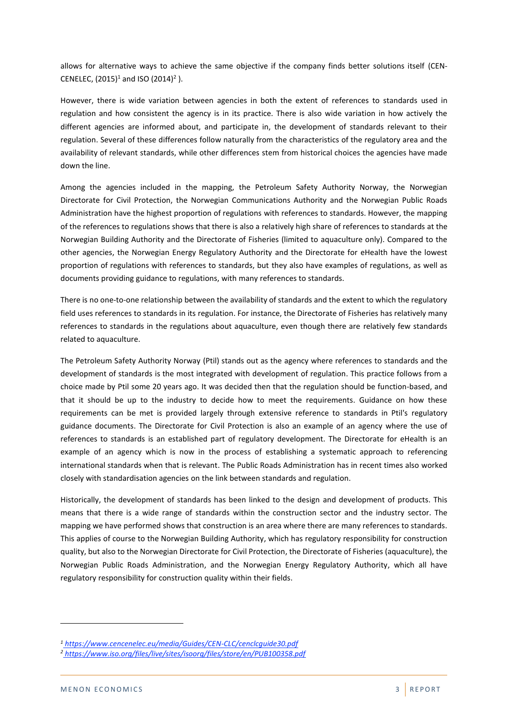allows for alternative ways to achieve the same objective if the company finds better solutions itself (CEN-CENELEC,  $(2015)^1$  and ISO  $(2014)^2$  ).

However, there is wide variation between agencies in both the extent of references to standards used in regulation and how consistent the agency is in its practice. There is also wide variation in how actively the different agencies are informed about, and participate in, the development of standards relevant to their regulation. Several of these differences follow naturally from the characteristics of the regulatory area and the availability of relevant standards, while other differences stem from historical choices the agencies have made down the line.

Among the agencies included in the mapping, the Petroleum Safety Authority Norway, the Norwegian Directorate for Civil Protection, the Norwegian Communications Authority and the Norwegian Public Roads Administration have the highest proportion of regulations with references to standards. However, the mapping of the references to regulations shows that there is also a relatively high share of references to standards at the Norwegian Building Authority and the Directorate of Fisheries (limited to aquaculture only). Compared to the other agencies, the Norwegian Energy Regulatory Authority and the Directorate for eHealth have the lowest proportion of regulations with references to standards, but they also have examples of regulations, as well as documents providing guidance to regulations, with many references to standards.

There is no one-to-one relationship between the availability of standards and the extent to which the regulatory field uses references to standards in its regulation. For instance, the Directorate of Fisheries has relatively many references to standards in the regulations about aquaculture, even though there are relatively few standards related to aquaculture.

The Petroleum Safety Authority Norway (Ptil) stands out as the agency where references to standards and the development of standards is the most integrated with development of regulation. This practice follows from a choice made by Ptil some 20 years ago. It was decided then that the regulation should be function-based, and that it should be up to the industry to decide how to meet the requirements. Guidance on how these requirements can be met is provided largely through extensive reference to standards in Ptil's regulatory guidance documents. The Directorate for Civil Protection is also an example of an agency where the use of references to standards is an established part of regulatory development. The Directorate for eHealth is an example of an agency which is now in the process of establishing a systematic approach to referencing international standards when that is relevant. The Public Roads Administration has in recent times also worked closely with standardisation agencies on the link between standards and regulation.

Historically, the development of standards has been linked to the design and development of products. This means that there is a wide range of standards within the construction sector and the industry sector. The mapping we have performed shows that construction is an area where there are many references to standards. This applies of course to the Norwegian Building Authority, which has regulatory responsibility for construction quality, but also to the Norwegian Directorate for Civil Protection, the Directorate of Fisheries (aquaculture), the Norwegian Public Roads Administration, and the Norwegian Energy Regulatory Authority, which all have regulatory responsibility for construction quality within their fields.

*<sup>1</sup> <https://www.cencenelec.eu/media/Guides/CEN-CLC/cenclcguide30.pdf>*

*<sup>2</sup> <https://www.iso.org/files/live/sites/isoorg/files/store/en/PUB100358.pdf>*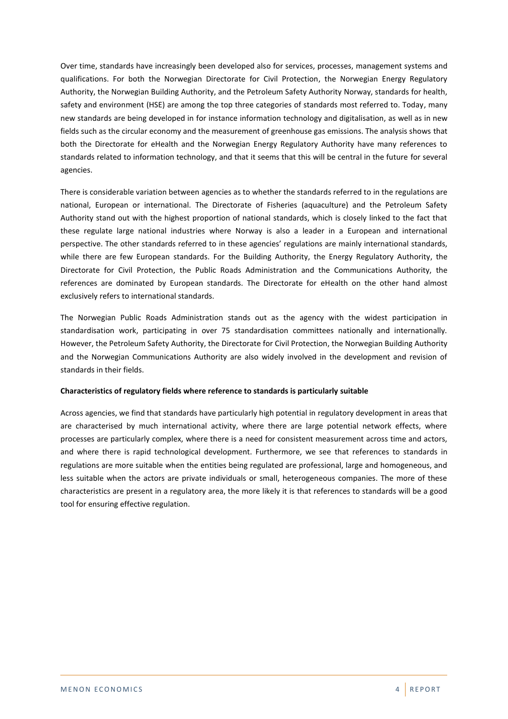Over time, standards have increasingly been developed also for services, processes, management systems and qualifications. For both the Norwegian Directorate for Civil Protection, the Norwegian Energy Regulatory Authority, the Norwegian Building Authority, and the Petroleum Safety Authority Norway, standards for health, safety and environment (HSE) are among the top three categories of standards most referred to. Today, many new standards are being developed in for instance information technology and digitalisation, as well as in new fields such as the circular economy and the measurement of greenhouse gas emissions. The analysis shows that both the Directorate for eHealth and the Norwegian Energy Regulatory Authority have many references to standards related to information technology, and that it seems that this will be central in the future for several agencies.

There is considerable variation between agencies as to whether the standards referred to in the regulations are national, European or international. The Directorate of Fisheries (aquaculture) and the Petroleum Safety Authority stand out with the highest proportion of national standards, which is closely linked to the fact that these regulate large national industries where Norway is also a leader in a European and international perspective. The other standards referred to in these agencies' regulations are mainly international standards, while there are few European standards. For the Building Authority, the Energy Regulatory Authority, the Directorate for Civil Protection, the Public Roads Administration and the Communications Authority, the references are dominated by European standards. The Directorate for eHealth on the other hand almost exclusively refers to international standards.

The Norwegian Public Roads Administration stands out as the agency with the widest participation in standardisation work, participating in over 75 standardisation committees nationally and internationally. However, the Petroleum Safety Authority, the Directorate for Civil Protection, the Norwegian Building Authority and the Norwegian Communications Authority are also widely involved in the development and revision of standards in their fields.

#### **Characteristics of regulatory fields where reference to standards is particularly suitable**

Across agencies, we find that standards have particularly high potential in regulatory development in areas that are characterised by much international activity, where there are large potential network effects, where processes are particularly complex, where there is a need for consistent measurement across time and actors, and where there is rapid technological development. Furthermore, we see that references to standards in regulations are more suitable when the entities being regulated are professional, large and homogeneous, and less suitable when the actors are private individuals or small, heterogeneous companies. The more of these characteristics are present in a regulatory area, the more likely it is that references to standards will be a good tool for ensuring effective regulation.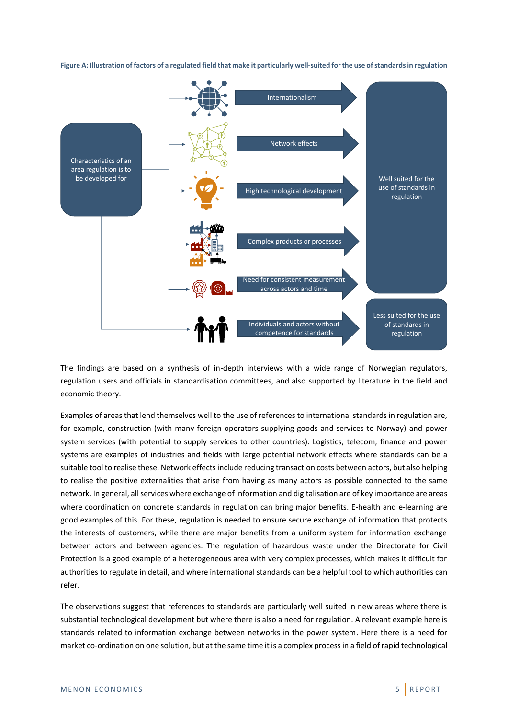**Figure A: Illustration of factors of a regulated field that make it particularly well-suited for the use of standards in regulation**



The findings are based on a synthesis of in-depth interviews with a wide range of Norwegian regulators, regulation users and officials in standardisation committees, and also supported by literature in the field and economic theory.

Examples of areas that lend themselves well to the use of references to international standards in regulation are, for example, construction (with many foreign operators supplying goods and services to Norway) and power system services (with potential to supply services to other countries). Logistics, telecom, finance and power systems are examples of industries and fields with large potential network effects where standards can be a suitable tool to realise these. Network effects include reducing transaction costs between actors, but also helping to realise the positive externalities that arise from having as many actors as possible connected to the same network. In general, all services where exchange of information and digitalisation are of key importance are areas where coordination on concrete standards in regulation can bring major benefits. E-health and e-learning are good examples of this. For these, regulation is needed to ensure secure exchange of information that protects the interests of customers, while there are major benefits from a uniform system for information exchange between actors and between agencies. The regulation of hazardous waste under the Directorate for Civil Protection is a good example of a heterogeneous area with very complex processes, which makes it difficult for authorities to regulate in detail, and where international standards can be a helpful tool to which authorities can refer.

The observations suggest that references to standards are particularly well suited in new areas where there is substantial technological development but where there is also a need for regulation. A relevant example here is standards related to information exchange between networks in the power system. Here there is a need for market co-ordination on one solution, but at the same time it is a complex process in a field of rapid technological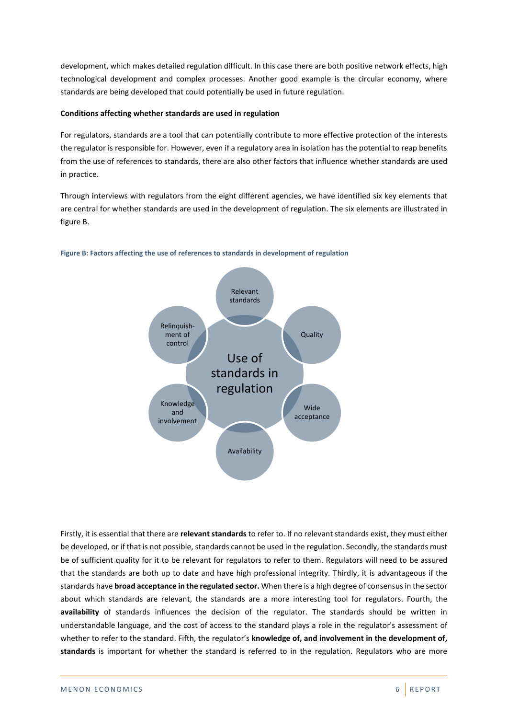development, which makes detailed regulation difficult. In this case there are both positive network effects, high technological development and complex processes. Another good example is the circular economy, where standards are being developed that could potentially be used in future regulation.

#### **Conditions affecting whether standards are used in regulation**

For regulators, standards are a tool that can potentially contribute to more effective protection of the interests the regulator is responsible for. However, even if a regulatory area in isolation has the potential to reap benefits from the use of references to standards, there are also other factors that influence whether standards are used in practice.

Through interviews with regulators from the eight different agencies, we have identified six key elements that are central for whether standards are used in the development of regulation. The six elements are illustrated in figure B.



#### **Figure B: Factors affecting the use of references to standards in development of regulation**

Firstly, it is essential that there are **relevant standards** to refer to. If no relevant standards exist, they must either be developed, or if that is not possible, standards cannot be used in the regulation. Secondly, the standards must be of sufficient quality for it to be relevant for regulators to refer to them. Regulators will need to be assured that the standards are both up to date and have high professional integrity. Thirdly, it is advantageous if the standards have **broad acceptance in the regulated sector.** When there is a high degree of consensus in the sector about which standards are relevant, the standards are a more interesting tool for regulators. Fourth, the **availability** of standards influences the decision of the regulator. The standards should be written in understandable language, and the cost of access to the standard plays a role in the regulator's assessment of whether to refer to the standard. Fifth, the regulator's **knowledge of, and involvement in the development of, standards** is important for whether the standard is referred to in the regulation. Regulators who are more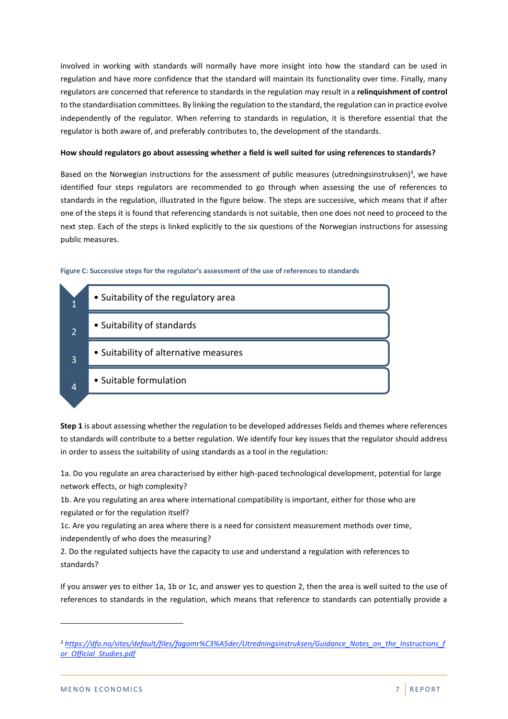involved in working with standards will normally have more insight into how the standard can be used in regulation and have more confidence that the standard will maintain its functionality over time. Finally, many regulators are concerned that reference to standards in the regulation may result in a **relinquishment of control**  to the standardisation committees. By linking the regulation to the standard, the regulation can in practice evolve independently of the regulator. When referring to standards in regulation, it is therefore essential that the regulator is both aware of, and preferably contributes to, the development of the standards.

#### **How should regulators go about assessing whether a field is well suited for using references to standards?**

Based on the Norwegian instructions for the assessment of public measures (utredningsinstruksen)<sup>3</sup>, we have identified four steps regulators are recommended to go through when assessing the use of references to standards in the regulation, illustrated in the figure below. The steps are successive, which means that if after one of the steps it is found that referencing standards is not suitable, then one does not need to proceed to the next step. Each of the steps is linked explicitly to the six questions of the Norwegian instructions for assessing public measures.

#### **Figure C: Successive steps for the regulator's assessment of the use of references to standards**

|   | • Suitability of the regulatory area  |
|---|---------------------------------------|
| 2 | • Suitability of standards            |
| 3 | • Suitability of alternative measures |
| 4 | • Suitable formulation                |

**Step 1** is about assessing whether the regulation to be developed addresses fields and themes where references to standards will contribute to a better regulation. We identify four key issues that the regulator should address in order to assess the suitability of using standards as a tool in the regulation:

1a. Do you regulate an area characterised by either high-paced technological development, potential for large network effects, or high complexity?

1b. Are you regulating an area where international compatibility is important, either for those who are regulated or for the regulation itself?

1c. Are you regulating an area where there is a need for consistent measurement methods over time, independently of who does the measuring?

2. Do the regulated subjects have the capacity to use and understand a regulation with references to standards?

If you answer yes to either 1a, 1b or 1c, and answer yes to question 2, then the area is well suited to the use of references to standards in the regulation, which means that reference to standards can potentially provide a

*<sup>3</sup> [https://dfo.no/sites/default/files/fagomr%C3%A5der/Utredningsinstruksen/Guidance\\_Notes\\_on\\_the\\_Instructions\\_f](https://dfo.no/sites/default/files/fagomr%C3%A5der/Utredningsinstruksen/Guidance_Notes_on_the_Instructions_for_Official_Studies.pdf) [or\\_Official\\_Studies.pdf](https://dfo.no/sites/default/files/fagomr%C3%A5der/Utredningsinstruksen/Guidance_Notes_on_the_Instructions_for_Official_Studies.pdf)*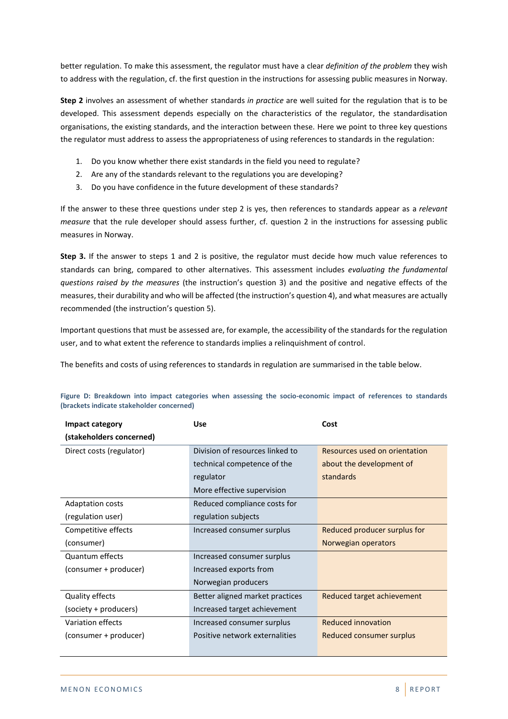better regulation. To make this assessment, the regulator must have a clear *definition of the problem* they wish to address with the regulation, cf. the first question in the instructions for assessing public measures in Norway.

**Step 2** involves an assessment of whether standards *in practice* are well suited for the regulation that is to be developed. This assessment depends especially on the characteristics of the regulator, the standardisation organisations, the existing standards, and the interaction between these. Here we point to three key questions the regulator must address to assess the appropriateness of using references to standards in the regulation:

- 1. Do you know whether there exist standards in the field you need to regulate?
- 2. Are any of the standards relevant to the regulations you are developing?
- 3. Do you have confidence in the future development of these standards?

If the answer to these three questions under step 2 is yes, then references to standards appear as a *relevant measure* that the rule developer should assess further, cf. question 2 in the instructions for assessing public measures in Norway.

**Step 3.** If the answer to steps 1 and 2 is positive, the regulator must decide how much value references to standards can bring, compared to other alternatives. This assessment includes *evaluating the fundamental questions raised by the measures* (the instruction's question 3) and the positive and negative effects of the measures, their durability and who will be affected (the instruction's question 4), and what measures are actually recommended (the instruction's question 5).

Important questions that must be assessed are, for example, the accessibility of the standards for the regulation user, and to what extent the reference to standards implies a relinquishment of control.

The benefits and costs of using references to standards in regulation are summarised in the table below.

| Impact category          | <b>Use</b>                      | Cost                            |  |  |
|--------------------------|---------------------------------|---------------------------------|--|--|
| (stakeholders concerned) |                                 |                                 |  |  |
| Direct costs (regulator) | Division of resources linked to | Resources used on orientation   |  |  |
|                          | technical competence of the     | about the development of        |  |  |
|                          | regulator                       | standards                       |  |  |
|                          | More effective supervision      |                                 |  |  |
| <b>Adaptation costs</b>  | Reduced compliance costs for    |                                 |  |  |
| (regulation user)        | regulation subjects             |                                 |  |  |
| Competitive effects      | Increased consumer surplus      | Reduced producer surplus for    |  |  |
| (consumer)               |                                 | Norwegian operators             |  |  |
| Quantum effects          | Increased consumer surplus      |                                 |  |  |
| (consumer + producer)    | Increased exports from          |                                 |  |  |
|                          | Norwegian producers             |                                 |  |  |
| Quality effects          | Better aligned market practices | Reduced target achievement      |  |  |
| (society + producers)    | Increased target achievement    |                                 |  |  |
| Variation effects        | Increased consumer surplus      | <b>Reduced innovation</b>       |  |  |
| (consumer + producer)    | Positive network externalities  | <b>Reduced consumer surplus</b> |  |  |
|                          |                                 |                                 |  |  |

**Figure D: Breakdown into impact categories when assessing the socio-economic impact of references to standards (brackets indicate stakeholder concerned)**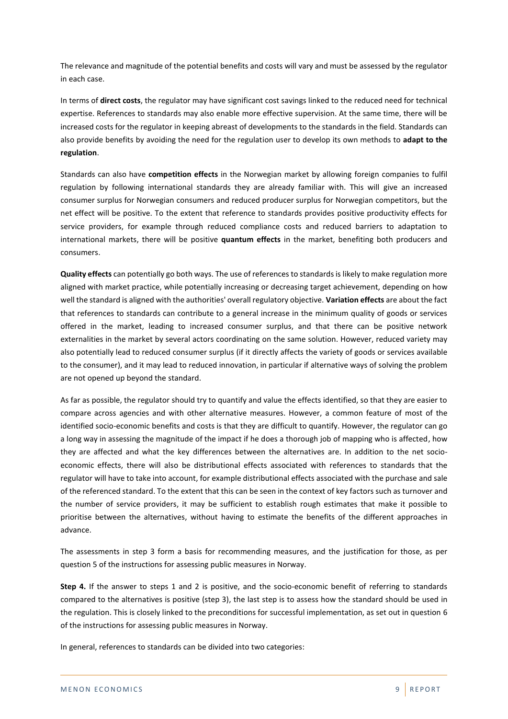The relevance and magnitude of the potential benefits and costs will vary and must be assessed by the regulator in each case.

In terms of **direct costs**, the regulator may have significant cost savings linked to the reduced need for technical expertise. References to standards may also enable more effective supervision. At the same time, there will be increased costs for the regulator in keeping abreast of developments to the standards in the field. Standards can also provide benefits by avoiding the need for the regulation user to develop its own methods to **adapt to the regulation**.

Standards can also have **competition effects** in the Norwegian market by allowing foreign companies to fulfil regulation by following international standards they are already familiar with. This will give an increased consumer surplus for Norwegian consumers and reduced producer surplus for Norwegian competitors, but the net effect will be positive. To the extent that reference to standards provides positive productivity effects for service providers, for example through reduced compliance costs and reduced barriers to adaptation to international markets, there will be positive **quantum effects** in the market, benefiting both producers and consumers.

**Quality effects** can potentially go both ways. The use of references to standards is likely to make regulation more aligned with market practice, while potentially increasing or decreasing target achievement, depending on how well the standard is aligned with the authorities' overall regulatory objective. **Variation effects** are about the fact that references to standards can contribute to a general increase in the minimum quality of goods or services offered in the market, leading to increased consumer surplus, and that there can be positive network externalities in the market by several actors coordinating on the same solution. However, reduced variety may also potentially lead to reduced consumer surplus (if it directly affects the variety of goods or services available to the consumer), and it may lead to reduced innovation, in particular if alternative ways of solving the problem are not opened up beyond the standard.

As far as possible, the regulator should try to quantify and value the effects identified, so that they are easier to compare across agencies and with other alternative measures. However, a common feature of most of the identified socio-economic benefits and costs is that they are difficult to quantify. However, the regulator can go a long way in assessing the magnitude of the impact if he does a thorough job of mapping who is affected, how they are affected and what the key differences between the alternatives are. In addition to the net socioeconomic effects, there will also be distributional effects associated with references to standards that the regulator will have to take into account, for example distributional effects associated with the purchase and sale of the referenced standard. To the extent that this can be seen in the context of key factors such as turnover and the number of service providers, it may be sufficient to establish rough estimates that make it possible to prioritise between the alternatives, without having to estimate the benefits of the different approaches in advance.

The assessments in step 3 form a basis for recommending measures, and the justification for those, as per question 5 of the instructions for assessing public measures in Norway.

**Step 4.** If the answer to steps 1 and 2 is positive, and the socio-economic benefit of referring to standards compared to the alternatives is positive (step 3), the last step is to assess how the standard should be used in the regulation. This is closely linked to the preconditions for successful implementation, as set out in question 6 of the instructions for assessing public measures in Norway.

In general, references to standards can be divided into two categories: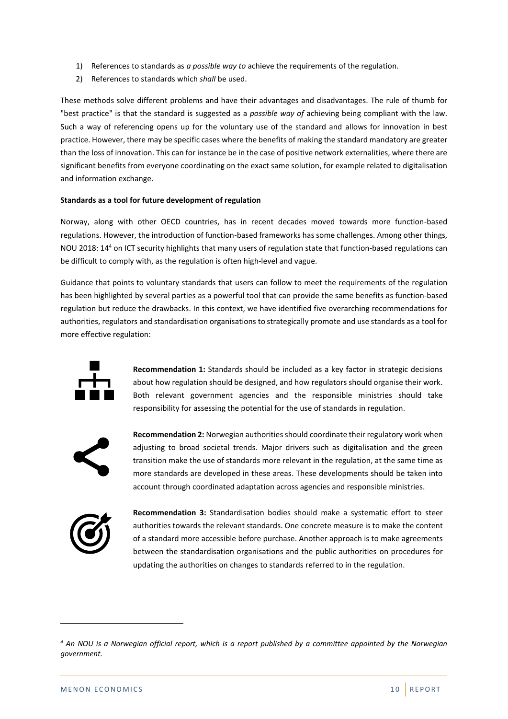- 1) References to standards as *a possible way to* achieve the requirements of the regulation.
- 2) References to standards which *shall* be used.

These methods solve different problems and have their advantages and disadvantages. The rule of thumb for "best practice" is that the standard is suggested as a *possible way of* achieving being compliant with the law. Such a way of referencing opens up for the voluntary use of the standard and allows for innovation in best practice. However, there may be specific cases where the benefits of making the standard mandatory are greater than the loss of innovation. This can for instance be in the case of positive network externalities, where there are significant benefits from everyone coordinating on the exact same solution, for example related to digitalisation and information exchange.

#### **Standards as a tool for future development of regulation**

Norway, along with other OECD countries, has in recent decades moved towards more function-based regulations. However, the introduction of function-based frameworks has some challenges. Among other things, NOU 2018: 14<sup>4</sup> on ICT security highlights that many users of regulation state that function-based regulations can be difficult to comply with, as the regulation is often high-level and vague.

Guidance that points to voluntary standards that users can follow to meet the requirements of the regulation has been highlighted by several parties as a powerful tool that can provide the same benefits as function-based regulation but reduce the drawbacks. In this context, we have identified five overarching recommendations for authorities, regulators and standardisation organisations to strategically promote and use standards as a tool for more effective regulation:



**Recommendation 1:** Standards should be included as a key factor in strategic decisions about how regulation should be designed, and how regulators should organise their work. Both relevant government agencies and the responsible ministries should take responsibility for assessing the potential for the use of standards in regulation.

$$
\boldsymbol{\boldsymbol{<}}
$$

**Recommendation 2:** Norwegian authorities should coordinate their regulatory work when adjusting to broad societal trends. Major drivers such as digitalisation and the green transition make the use of standards more relevant in the regulation, at the same time as more standards are developed in these areas. These developments should be taken into account through coordinated adaptation across agencies and responsible ministries.



**Recommendation 3:** Standardisation bodies should make a systematic effort to steer authorities towards the relevant standards. One concrete measure is to make the content of a standard more accessible before purchase. Another approach is to make agreements between the standardisation organisations and the public authorities on procedures for updating the authorities on changes to standards referred to in the regulation.

*<sup>4</sup> An NOU is a Norwegian official report, which is a report published by a committee appointed by the Norwegian government.*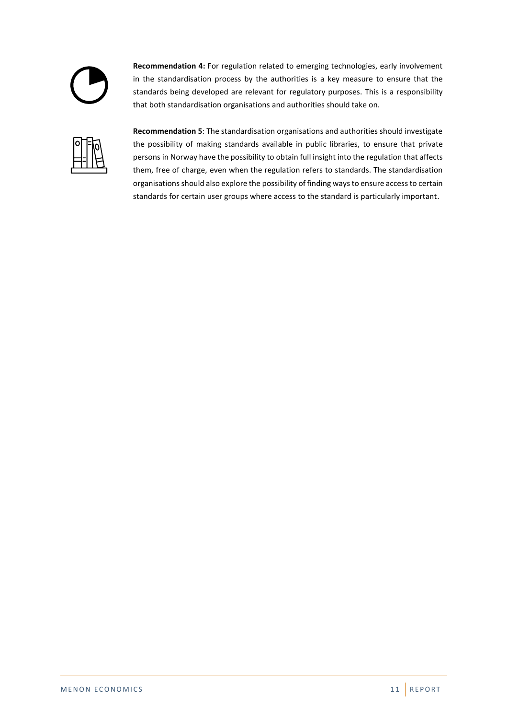

**Recommendation 4:** For regulation related to emerging technologies, early involvement in the standardisation process by the authorities is a key measure to ensure that the standards being developed are relevant for regulatory purposes. This is a responsibility that both standardisation organisations and authorities should take on.



**Recommendation 5**: The standardisation organisations and authorities should investigate the possibility of making standards available in public libraries, to ensure that private persons in Norway have the possibility to obtain full insight into the regulation that affects them, free of charge, even when the regulation refers to standards. The standardisation organisations should also explore the possibility of finding ways to ensure access to certain standards for certain user groups where access to the standard is particularly important.